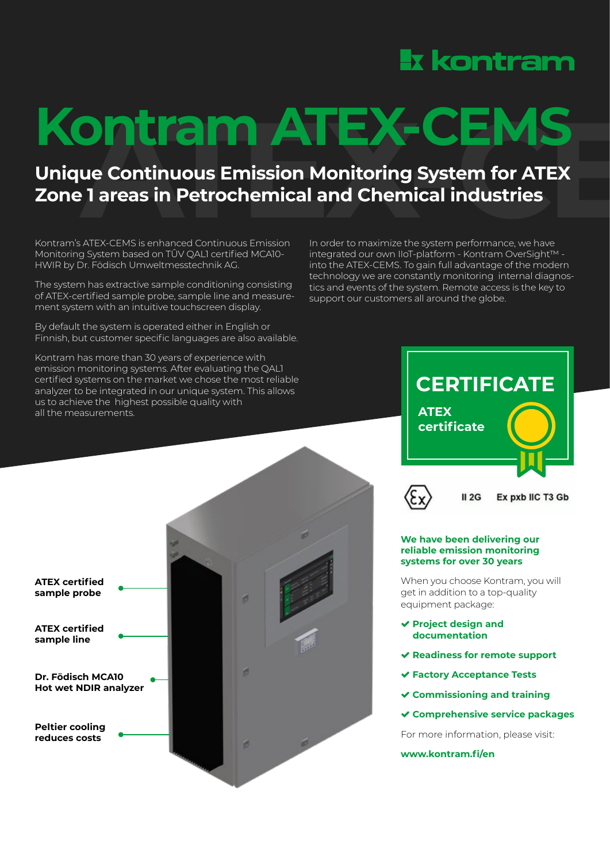# **Ix kontram**

# **Kontram ATEX-CEMS**<br>Unique Continuous Emission Monitoring System for ATEX<br>Zone 1 areas in Petrochemical and Chemical industries<br>Kontamis ATEX.CEMS isophanced Continuous Emission

## **Unique Continuous Emission Monitoring System for ATEX Zone 1 areas in Petrochemical and Chemical industries**

Kontram's ATEX-CEMS is enhanced Continuous Emission Monitoring System based on TÛV QAL1 certified MCA10- HWIR by Dr. Födisch Umweltmesstechnik AG.

The system has extractive sample conditioning consisting of ATEX-certified sample probe, sample line and measurement system with an intuitive touchscreen display.

By default the system is operated either in English or Finnish, but customer specific languages are also available.

Kontram has more than 30 years of experience with emission monitoring systems. After evaluating the QAL1 certified systems on the market we chose the most reliable analyzer to be integrated in our unique system. This allows us to achieve the highest possible quality with all the measurements.







#### **We have been delivering our reliable emission monitoring systems for over 30 years**

When you choose Kontram, you will get in addition to a top-quality equipment package:

- **Project design and documentation**
- **Readiness for remote support**
- **Factory Acceptance Tests**
- **Commissioning and training**
- **Comprehensive service packages**

For more information, please visit:

**www.kontram.fi/en**